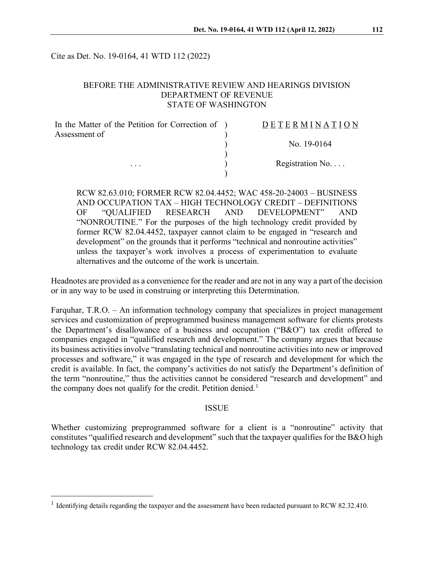Cite as Det. No. 19-0164, 41 WTD 112 (2022)

## BEFORE THE ADMINISTRATIVE REVIEW AND HEARINGS DIVISION DEPARTMENT OF REVENUE STATE OF WASHINGTON

| In the Matter of the Petition for Correction of ) | DETERMINATION     |
|---------------------------------------------------|-------------------|
| Assessment of                                     |                   |
| $\cdots$                                          | No. 19-0164       |
|                                                   | Registration $No$ |
|                                                   |                   |
|                                                   |                   |

RCW 82.63.010; FORMER RCW 82.04.4452; WAC 458-20-24003 – BUSINESS AND OCCUPATION TAX – HIGH TECHNOLOGY CREDIT – DEFINITIONS OF "QUALIFIED RESEARCH AND DEVELOPMENT" AND "NONROUTINE." For the purposes of the high technology credit provided by former RCW 82.04.4452, taxpayer cannot claim to be engaged in "research and development" on the grounds that it performs "technical and nonroutine activities" unless the taxpayer's work involves a process of experimentation to evaluate alternatives and the outcome of the work is uncertain.

Headnotes are provided as a convenience for the reader and are not in any way a part of the decision or in any way to be used in construing or interpreting this Determination.

Farquhar, T.R.O. – An information technology company that specializes in project management services and customization of preprogrammed business management software for clients protests the Department's disallowance of a business and occupation ("B&O") tax credit offered to companies engaged in "qualified research and development." The company argues that because its business activities involve "translating technical and nonroutine activities into new or improved processes and software," it was engaged in the type of research and development for which the credit is available. In fact, the company's activities do not satisfy the Department's definition of the term "nonroutine," thus the activities cannot be considered "research and development" and the company does not qualify for the credit. Petition denied.<sup>[1](#page-0-0)</sup>

#### ISSUE

Whether customizing preprogrammed software for a client is a "nonroutine" activity that constitutes "qualified research and development" such that the taxpayer qualifies for the B&O high technology tax credit under RCW 82.04.4452.

<span id="page-0-0"></span><sup>&</sup>lt;sup>1</sup> Identifying details regarding the taxpayer and the assessment have been redacted pursuant to RCW 82.32.410.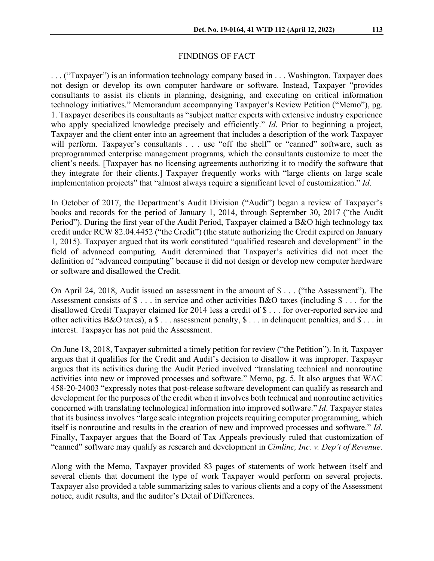### FINDINGS OF FACT

. . . ("Taxpayer") is an information technology company based in . . . Washington. Taxpayer does not design or develop its own computer hardware or software. Instead, Taxpayer "provides consultants to assist its clients in planning, designing, and executing on critical information technology initiatives." Memorandum accompanying Taxpayer's Review Petition ("Memo"), pg. 1. Taxpayer describes its consultants as "subject matter experts with extensive industry experience who apply specialized knowledge precisely and efficiently." *Id*. Prior to beginning a project, Taxpayer and the client enter into an agreement that includes a description of the work Taxpayer will perform. Taxpayer's consultants . . . use "off the shelf" or "canned" software, such as preprogrammed enterprise management programs, which the consultants customize to meet the client's needs. [Taxpayer has no licensing agreements authorizing it to modify the software that they integrate for their clients.] Taxpayer frequently works with "large clients on large scale implementation projects" that "almost always require a significant level of customization." *Id*.

In October of 2017, the Department's Audit Division ("Audit") began a review of Taxpayer's books and records for the period of January 1, 2014, through September 30, 2017 ("the Audit Period"). During the first year of the Audit Period, Taxpayer claimed a B&O high technology tax credit under RCW 82.04.4452 ("the Credit") (the statute authorizing the Credit expired on January 1, 2015). Taxpayer argued that its work constituted "qualified research and development" in the field of advanced computing. Audit determined that Taxpayer's activities did not meet the definition of "advanced computing" because it did not design or develop new computer hardware or software and disallowed the Credit.

On April 24, 2018, Audit issued an assessment in the amount of \$ . . . ("the Assessment"). The Assessment consists of \$ . . . in service and other activities B&O taxes (including \$ . . . for the disallowed Credit Taxpayer claimed for 2014 less a credit of \$ . . . for over-reported service and other activities B&O taxes), a  $\$\dots$  assessment penalty,  $\$\dots$  in delinguent penalties, and  $\$\dots$  in interest. Taxpayer has not paid the Assessment.

On June 18, 2018, Taxpayer submitted a timely petition for review ("the Petition"). In it, Taxpayer argues that it qualifies for the Credit and Audit's decision to disallow it was improper. Taxpayer argues that its activities during the Audit Period involved "translating technical and nonroutine activities into new or improved processes and software." Memo, pg. 5. It also argues that WAC 458-20-24003 "expressly notes that post-release software development can qualify as research and development for the purposes of the credit when it involves both technical and nonroutine activities concerned with translating technological information into improved software." *Id*. Taxpayer states that its business involves "large scale integration projects requiring computer programming, which itself is nonroutine and results in the creation of new and improved processes and software." *Id*. Finally, Taxpayer argues that the Board of Tax Appeals previously ruled that customization of "canned" software may qualify as research and development in *Cimlinc, Inc. v. Dep't of Revenue*.

Along with the Memo, Taxpayer provided 83 pages of statements of work between itself and several clients that document the type of work Taxpayer would perform on several projects. Taxpayer also provided a table summarizing sales to various clients and a copy of the Assessment notice, audit results, and the auditor's Detail of Differences.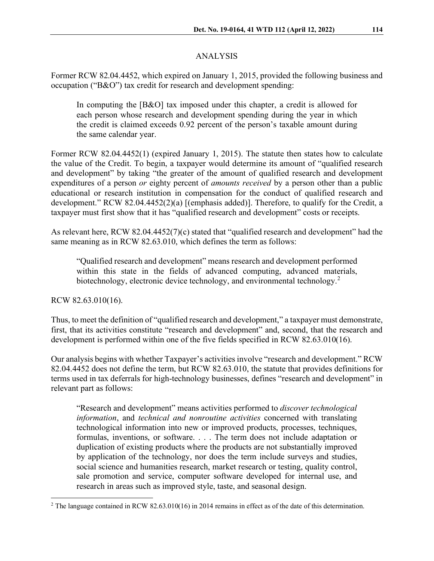# ANALYSIS

Former RCW 82.04.4452, which expired on January 1, 2015, provided the following business and occupation ("B&O") tax credit for research and development spending:

In computing the [B&O] tax imposed under this chapter, a credit is allowed for each person whose research and development spending during the year in which the credit is claimed exceeds 0.92 percent of the person's taxable amount during the same calendar year.

Former RCW 82.04.4452(1) (expired January 1, 2015). The statute then states how to calculate the value of the Credit. To begin, a taxpayer would determine its amount of "qualified research and development" by taking "the greater of the amount of qualified research and development expenditures of a person *or* eighty percent of *amounts received* by a person other than a public educational or research institution in compensation for the conduct of qualified research and development." RCW 82.04.4452(2)(a) [(emphasis added)]. Therefore, to qualify for the Credit, a taxpayer must first show that it has "qualified research and development" costs or receipts.

As relevant here, RCW 82.04.4452(7)(c) stated that "qualified research and development" had the same meaning as in RCW 82.63.010, which defines the term as follows:

"Qualified research and development" means research and development performed within this state in the fields of advanced computing, advanced materials, biotechnology, electronic device technology, and environmental technology.<sup>[2](#page-2-0)</sup>

RCW 82.63.010(16).

Thus, to meet the definition of "qualified research and development," a taxpayer must demonstrate, first, that its activities constitute "research and development" and, second, that the research and development is performed within one of the five fields specified in RCW 82.63.010(16).

Our analysis begins with whether Taxpayer's activities involve "research and development." RCW 82.04.4452 does not define the term, but RCW 82.63.010, the statute that provides definitions for terms used in tax deferrals for high-technology businesses, defines "research and development" in relevant part as follows:

"Research and development" means activities performed to *discover technological information*, and *technical and nonroutine activities* concerned with translating technological information into new or improved products, processes, techniques, formulas, inventions, or software. . . . The term does not include adaptation or duplication of existing products where the products are not substantially improved by application of the technology, nor does the term include surveys and studies, social science and humanities research, market research or testing, quality control, sale promotion and service, computer software developed for internal use, and research in areas such as improved style, taste, and seasonal design.

<span id="page-2-0"></span><sup>&</sup>lt;sup>2</sup> The language contained in RCW 82.63.010(16) in 2014 remains in effect as of the date of this determination.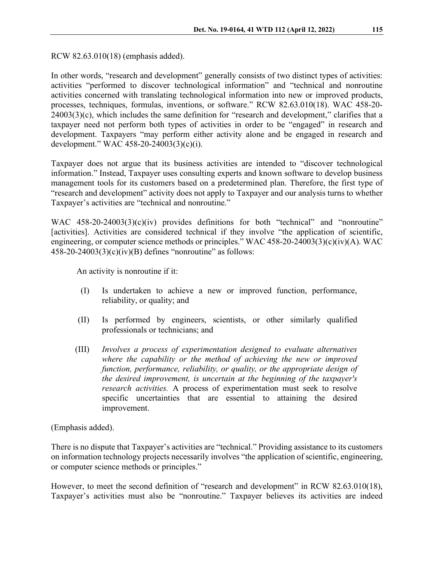RCW 82.63.010(18) (emphasis added).

In other words, "research and development" generally consists of two distinct types of activities: activities "performed to discover technological information" and "technical and nonroutine activities concerned with translating technological information into new or improved products, processes, techniques, formulas, inventions, or software." RCW 82.63.010(18). WAC 458-20- 24003(3)(c), which includes the same definition for "research and development," clarifies that a taxpayer need not perform both types of activities in order to be "engaged" in research and development. Taxpayers "may perform either activity alone and be engaged in research and development." WAC 458-20-24003(3)(c)(i).

Taxpayer does not argue that its business activities are intended to "discover technological information." Instead, Taxpayer uses consulting experts and known software to develop business management tools for its customers based on a predetermined plan. Therefore, the first type of "research and development" activity does not apply to Taxpayer and our analysis turns to whether Taxpayer's activities are "technical and nonroutine."

WAC 458-20-24003(3)(c)(iv) provides definitions for both "technical" and "nonroutine" [activities]. Activities are considered technical if they involve "the application of scientific, engineering, or computer science methods or principles." WAC 458-20-24003(3)(c)(iv)(A). WAC  $458-20-24003(3)(c)(iv)(B)$  defines "nonroutine" as follows:

An activity is nonroutine if it:

- (I) Is undertaken to achieve a new or improved function, performance, reliability, or quality; and
- (II) Is performed by engineers, scientists, or other similarly qualified professionals or technicians; and
- (III) *Involves a process of experimentation designed to evaluate alternatives where the capability or the method of achieving the new or improved function, performance, reliability, or quality, or the appropriate design of the desired improvement, is uncertain at the beginning of the taxpayer's research activities.* A process of experimentation must seek to resolve specific uncertainties that are essential to attaining the desired improvement.

(Emphasis added).

There is no dispute that Taxpayer's activities are "technical." Providing assistance to its customers on information technology projects necessarily involves "the application of scientific, engineering, or computer science methods or principles."

However, to meet the second definition of "research and development" in RCW 82.63.010(18), Taxpayer's activities must also be "nonroutine." Taxpayer believes its activities are indeed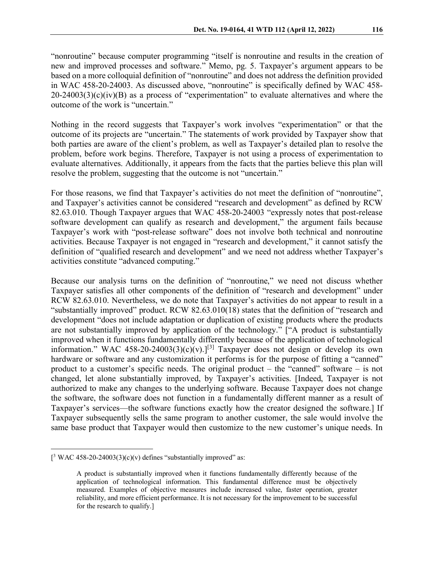"nonroutine" because computer programming "itself is nonroutine and results in the creation of new and improved processes and software." Memo, pg. 5. Taxpayer's argument appears to be based on a more colloquial definition of "nonroutine" and does not address the definition provided in WAC 458-20-24003. As discussed above, "nonroutine" is specifically defined by WAC 458-  $20-24003(3)(c)(iv)(B)$  as a process of "experimentation" to evaluate alternatives and where the outcome of the work is "uncertain."

Nothing in the record suggests that Taxpayer's work involves "experimentation" or that the outcome of its projects are "uncertain." The statements of work provided by Taxpayer show that both parties are aware of the client's problem, as well as Taxpayer's detailed plan to resolve the problem, before work begins. Therefore, Taxpayer is not using a process of experimentation to evaluate alternatives. Additionally, it appears from the facts that the parties believe this plan will resolve the problem, suggesting that the outcome is not "uncertain."

For those reasons, we find that Taxpayer's activities do not meet the definition of "nonroutine", and Taxpayer's activities cannot be considered "research and development" as defined by RCW 82.63.010. Though Taxpayer argues that WAC 458-20-24003 "expressly notes that post-release software development can qualify as research and development," the argument fails because Taxpayer's work with "post-release software" does not involve both technical and nonroutine activities. Because Taxpayer is not engaged in "research and development," it cannot satisfy the definition of "qualified research and development" and we need not address whether Taxpayer's activities constitute "advanced computing."

Because our analysis turns on the definition of "nonroutine," we need not discuss whether Taxpayer satisfies all other components of the definition of "research and development" under RCW 82.63.010. Nevertheless, we do note that Taxpayer's activities do not appear to result in a "substantially improved" product. RCW 82.63.010(18) states that the definition of "research and development "does not include adaptation or duplication of existing products where the products are not substantially improved by application of the technology." ["A product is substantially improved when it functions fundamentally differently because of the application of technological information." WAC 458-20-24003(3)(c)(v).<sup>[\[3](#page-4-0)]</sup> Taxpayer does not design or develop its own hardware or software and any customization it performs is for the purpose of fitting a "canned" product to a customer's specific needs. The original product – the "canned" software – is not changed, let alone substantially improved, by Taxpayer's activities. [Indeed, Taxpayer is not authorized to make any changes to the underlying software. Because Taxpayer does not change the software, the software does not function in a fundamentally different manner as a result of Taxpayer's services—the software functions exactly how the creator designed the software.] If Taxpayer subsequently sells the same program to another customer, the sale would involve the same base product that Taxpayer would then customize to the new customer's unique needs. In

<span id="page-4-0"></span> $[^3$  WAC 458-20-24003(3)(c)(v) defines "substantially improved" as:

A product is substantially improved when it functions fundamentally differently because of the application of technological information. This fundamental difference must be objectively measured. Examples of objective measures include increased value, faster operation, greater reliability, and more efficient performance. It is not necessary for the improvement to be successful for the research to qualify.]